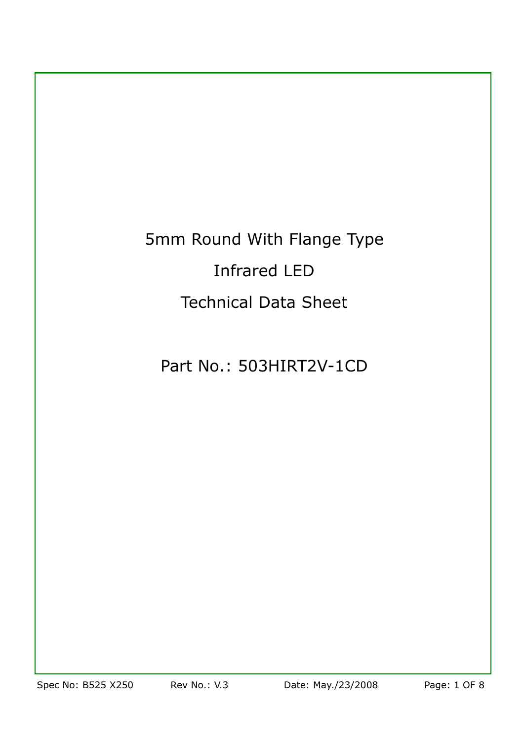# 5mm Round With Flange Type Infrared LED Technical Data Sheet

# Part No.: 503HIRT2V-1CD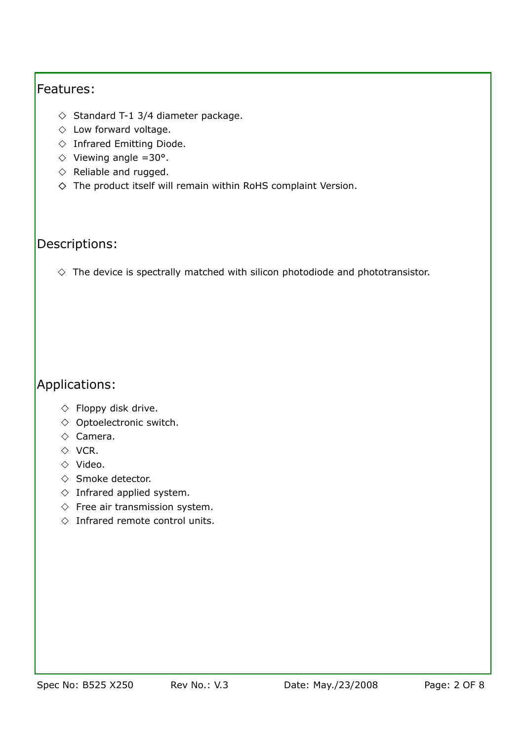#### Features:

- $\Diamond$  Standard T-1 3/4 diameter package.
- $\Diamond$  Low forward voltage.
- $\diamond$  Infrared Emitting Diode.
- $\Diamond$  Viewing angle =30°.
- $\Diamond$  Reliable and rugged.
- $\diamond$  The product itself will remain within RoHS complaint Version.

### Descriptions:

 $\Diamond$  The device is spectrally matched with silicon photodiode and phototransistor.

# Applications:

- $\Diamond$  Floppy disk drive.
- $\Diamond$  Optoelectronic switch.
- $\diamond$  Camera.
- $\Diamond$  VCR.
- $\Diamond$  Video.
- $\Diamond$  Smoke detector.
- $\Diamond$  Infrared applied system.
- $\Diamond$  Free air transmission system.
- $\Diamond$  Infrared remote control units.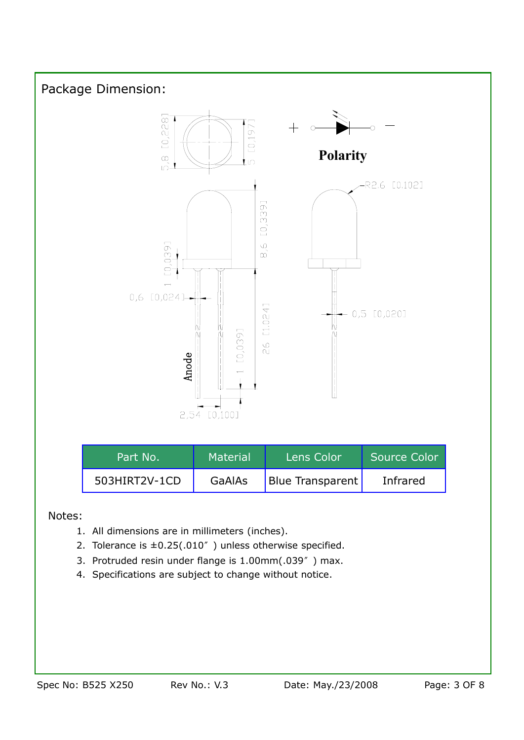

#### Notes:

- 1. All dimensions are in millimeters (inches).
- 2. Tolerance is  $\pm 0.25(.010'')$  unless otherwise specified.
- 3. Protruded resin under flange is 1.00mm(.039") max.
- 4. Specifications are subject to change without notice.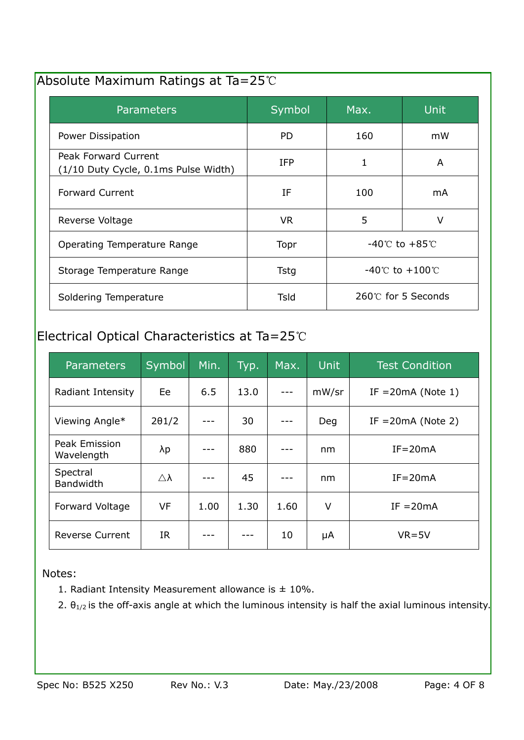# Absolute Maximum Ratings at Ta=25°C

| <b>Parameters</b>                                            | <b>Symbol</b> | Max.                               | Unit |
|--------------------------------------------------------------|---------------|------------------------------------|------|
| Power Dissipation                                            | PD.           | 160                                | mW   |
| Peak Forward Current<br>(1/10 Duty Cycle, 0.1ms Pulse Width) | <b>IFP</b>    | 1                                  | A    |
| <b>Forward Current</b>                                       | ΙF            | 100                                | mA   |
| Reverse Voltage                                              | <b>VR</b>     | 5                                  | V    |
| Operating Temperature Range                                  | Topr          | $-40^{\circ}$ C to $+85^{\circ}$ C |      |
| Storage Temperature Range                                    | <b>Tstg</b>   | -40℃ to $+100$ ℃                   |      |
| Soldering Temperature                                        | Tsld          | 260℃ for 5 Seconds                 |      |

# Electrical Optical Characteristics at Ta=25°C

| <b>Parameters</b>            | Symbol                | Min. | Typ. | Max. | <b>Unit</b> | <b>Test Condition</b> |
|------------------------------|-----------------------|------|------|------|-------------|-----------------------|
| Radiant Intensity            | Ee                    | 6.5  | 13.0 |      | mW/sr       | IF = $20mA$ (Note 1)  |
| Viewing Angle*               | $2\theta$ 1/2         |      | 30   |      | Deg         | IF $=20mA$ (Note 2)   |
| Peak Emission<br>Wavelength  | λp                    |      | 880  |      | nm          | $IF = 20mA$           |
| Spectral<br><b>Bandwidth</b> | $\triangle$ $\lambda$ |      | 45   |      | nm          | $IF = 20mA$           |
| Forward Voltage              | <b>VF</b>             | 1.00 | 1.30 | 1.60 | V           | $IF = 20mA$           |
| <b>Reverse Current</b>       | IR                    |      |      | 10   | μA          | $VR = 5V$             |

Notes:

- 1. Radiant Intensity Measurement allowance is  $\pm$  10%.
- 2.  $\theta_{1/2}$  is the off-axis angle at which the luminous intensity is half the axial luminous intensity.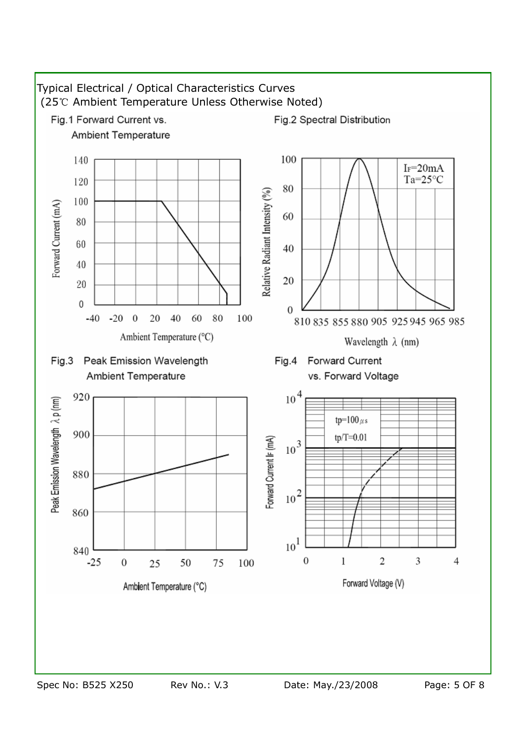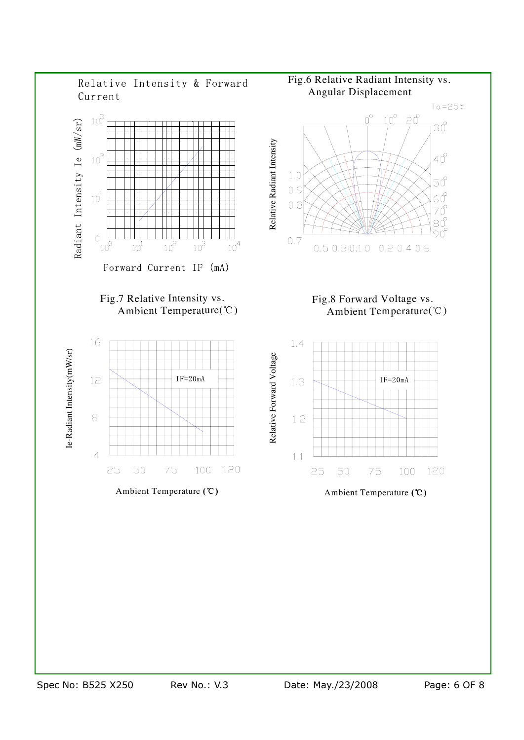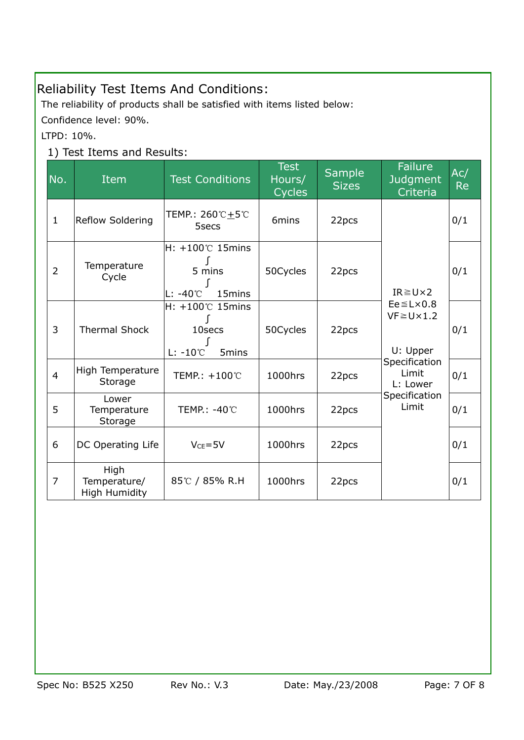# Reliability Test Items And Conditions:

The reliability of products shall be satisfied with items listed below:

Confidence level: 90%.

LTPD: 10%.

### 1) Test Items and Results:

| No.            | Item                                         | <b>Test Conditions</b>                                               | <b>Test</b><br>Hours/<br><b>Cycles</b> | Sample<br><b>Sizes</b> | <b>Failure</b><br><b>Judgment</b><br>Criteria                                                                                                       | Ac/<br><b>Re</b> |
|----------------|----------------------------------------------|----------------------------------------------------------------------|----------------------------------------|------------------------|-----------------------------------------------------------------------------------------------------------------------------------------------------|------------------|
| $\mathbf{1}$   | Reflow Soldering                             | TEMP.: 260℃±5℃<br>5secs                                              | 6mins                                  | 22pcs                  | $IR \geq U \times 2$<br>$Ee \leq L \times 0.8$<br>$VF \ge U \times 1.2$<br>U: Upper<br>Specification<br>Limit<br>L: Lower<br>Specification<br>Limit | 0/1              |
| $\overline{2}$ | Temperature<br>Cycle                         | $H: +100^{\circ}$ 15mins<br>5 mins<br>lL: -40℃<br>15 <sub>mins</sub> | 50Cycles                               | 22pcs                  |                                                                                                                                                     | 0/1              |
| 3              | <b>Thermal Shock</b>                         | $H: +100^{\circ}$ 15mins<br>10secs<br>$L: -10^{\circ}C$<br>5mins     | 50Cycles                               | 22pcs                  |                                                                                                                                                     | 0/1              |
| $\overline{4}$ | High Temperature<br>Storage                  | TEMP.: +100℃                                                         | 1000hrs                                | 22pcs                  |                                                                                                                                                     | 0/1              |
| 5              | Lower<br>Temperature<br>Storage              | TEMP.: -40℃                                                          | 1000hrs                                | 22pcs                  |                                                                                                                                                     | 0/1              |
| 6              | DC Operating Life                            | $V_{CE} = 5V$                                                        | 1000hrs                                | 22pcs                  |                                                                                                                                                     | 0/1              |
| $\overline{7}$ | High<br>Temperature/<br><b>High Humidity</b> | 85℃ / 85% R.H                                                        | 1000hrs                                | 22pcs                  |                                                                                                                                                     | 0/1              |